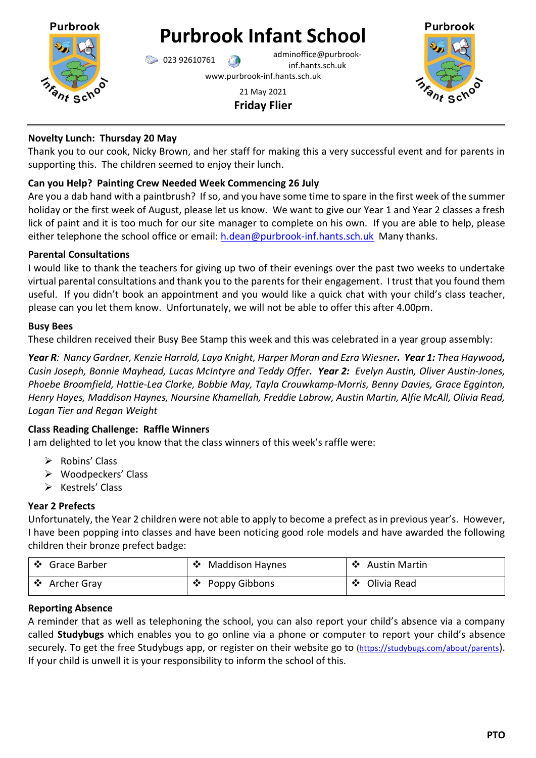

# **Purbrook Infant School**

023 92610761 adminoffice@purbrookinf.hants.sch.uk www.purbrook-inf.hants.sch.uk





#### **Novelty Lunch: Thursday 20 May**

Thank you to our cook, Nicky Brown, and her staff for making this a very successful event and for parents in supporting this. The children seemed to enjoy their lunch.

## **Can you Help? Painting Crew Needed Week Commencing 26 July**

Are you a dab hand with a paintbrush? If so, and you have some time to spare in the first week of the summer holiday or the first week of August, please let us know. We want to give our Year 1 and Year 2 classes a fresh lick of paint and it is too much for our site manager to complete on his own. If you are able to help, please either telephone the school office or email: [h.dean@purbrook-inf.hants.sch.uk](mailto:h.dean@purbrook-inf.hants.sch.uk) Many thanks.

#### **Parental Consultations**

I would like to thank the teachers for giving up two of their evenings over the past two weeks to undertake virtual parental consultations and thank you to the parents for their engagement. I trust that you found them useful. If you didn't book an appointment and you would like a quick chat with your child's class teacher, please can you let them know. Unfortunately, we will not be able to offer this after 4.00pm.

#### **Busy Bees**

These children received their Busy Bee Stamp this week and this was celebrated in a year group assembly:

*Year R: Nancy Gardner, Kenzie Harrold, Laya Knight, Harper Moran and Ezra Wiesner. Year 1: Thea Haywood, Cusin Joseph, Bonnie Mayhead, Lucas McIntyre and Teddy Offer. Year 2: Evelyn Austin, Oliver Austin-Jones, Phoebe Broomfield, Hattie-Lea Clarke, Bobbie May, Tayla Crouwkamp-Morris, Benny Davies, Grace Egginton, Henry Hayes, Maddison Haynes, Noursine Khamellah, Freddie Labrow, Austin Martin, Alfie McAll, Olivia Read, Logan Tier and Regan Weight*

## **Class Reading Challenge: Raffle Winners**

I am delighted to let you know that the class winners of this week's raffle were:

- $\triangleright$  Robins' Class
- Woodpeckers' Class
- $\triangleright$  Kestrels' Class

## **Year 2 Prefects**

Unfortunately, the Year 2 children were not able to apply to become a prefect as in previous year's. However, I have been popping into classes and have been noticing good role models and have awarded the following children their bronze prefect badge:

| │ ❖ Grace Barber | <b>Maddison Haynes</b> | ❖ Austin Martin |
|------------------|------------------------|-----------------|
| └ ❖ Archer Gray  | ❖ Poppy Gibbons        | ❖ Olivia Read   |

## **Reporting Absence**

A reminder that as well as telephoning the school, you can also report your child's absence via a company called **Studybugs** which enables you to go online via a phone or computer to report your child's absence securely. To get the free Studybugs app, or register on their website go to [\(https://studybugs.com/about/parents](https://studybugs.com/about/parents)). If your child is unwell it is your responsibility to inform the school of this.